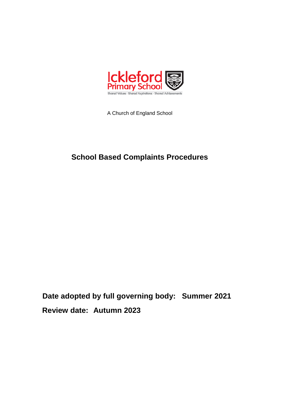

A Church of England School

# **School Based Complaints Procedures**

**Date adopted by full governing body: Summer 2021 Review date: Autumn 2023**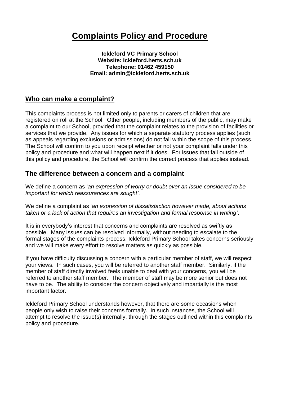# **Complaints Policy and Procedure**

**Ickleford VC Primary School Website: Ickleford.herts.sch.uk Telephone: 01462 459150 Email: admin@ickleford.herts.sch.uk**

#### **Who can make a complaint?**

This complaints process is not limited only to parents or carers of children that are registered on roll at the School. Other people, including members of the public, may make a complaint to our School, provided that the complaint relates to the provision of facilities or services that we provide. Any issues for which a separate statutory process applies (such as appeals regarding exclusions or admissions) do not fall within the scope of this process. The School will confirm to you upon receipt whether or not your complaint falls under this policy and procedure and what will happen next if it does. For issues that fall outside of this policy and procedure, the School will confirm the correct process that applies instead.

#### **The difference between a concern and a complaint**

We define a concern as '*an expression of worry or doubt over an issue considered to be important for which reassurances are sought'*.

We define a complaint as '*an expression of dissatisfaction however made, about actions taken or a lack of action that requires an investigation and formal response in writing'*.

It is in everybody's interest that concerns and complaints are resolved as swiftly as possible. Many issues can be resolved informally, without needing to escalate to the formal stages of the complaints process. Ickleford Primary School takes concerns seriously and we will make every effort to resolve matters as quickly as possible.

If you have difficulty discussing a concern with a particular member of staff, we will respect your views. In such cases, you will be referred to another staff member. Similarly, if the member of staff directly involved feels unable to deal with your concerns, you will be referred to another staff member. The member of staff may be more senior but does not have to be. The ability to consider the concern objectively and impartially is the most important factor.

Ickleford Primary School understands however, that there are some occasions when people only wish to raise their concerns formally. In such instances, the School will attempt to resolve the issue(s) internally, through the stages outlined within this complaints policy and procedure.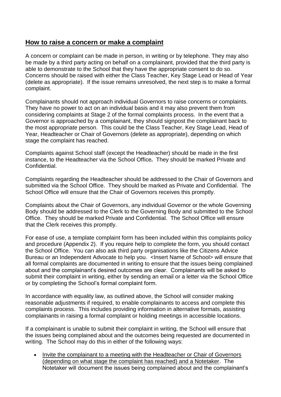#### **How to raise a concern or make a complaint**

A concern or complaint can be made in person, in writing or by telephone. They may also be made by a third party acting on behalf on a complainant, provided that the third party is able to demonstrate to the School that they have the appropriate consent to do so. Concerns should be raised with either the Class Teacher, Key Stage Lead or Head of Year (delete as appropriate). If the issue remains unresolved, the next step is to make a formal complaint.

Complainants should not approach individual Governors to raise concerns or complaints. They have no power to act on an individual basis and it may also prevent them from considering complaints at Stage 2 of the formal complaints process. In the event that a Governor is approached by a complainant, they should signpost the complainant back to the most appropriate person. This could be the Class Teacher, Key Stage Lead, Head of Year, Headteacher or Chair of Governors (delete as appropriate), depending on which stage the complaint has reached.

Complaints against School staff (except the Headteacher) should be made in the first instance, to the Headteacher via the School Office*.* They should be marked Private and Confidential.

Complaints regarding the Headteacher should be addressed to the Chair of Governors and submitted via the School Office. They should be marked as Private and Confidential. The School Office will ensure that the Chair of Governors receives this promptly.

Complaints about the Chair of Governors, any individual Governor or the whole Governing Body should be addressed to the Clerk to the Governing Body and submitted to the School Office. They should be marked Private and Confidential. The School Office will ensure that the Clerk receives this promptly.

For ease of use, a template complaint form has been included within this complaints policy and procedure (Appendix 2). If you require help to complete the form, you should contact the School Office. You can also ask third party organisations like the Citizens Advice Bureau or an Independent Advocate to help you. <Insert Name of School> will ensure that all formal complaints are documented in writing to ensure that the issues being complained about and the complainant's desired outcomes are clear. Complainants will be asked to submit their complaint in writing, either by sending an email or a letter via the School Office or by completing the School's formal complaint form.

In accordance with equality law, as outlined above, the School will consider making reasonable adjustments if required, to enable complainants to access and complete this complaints process. This includes providing information in alternative formats, assisting complainants in raising a formal complaint or holding meetings in accessible locations.

If a complainant is unable to submit their complaint in writing, the School will ensure that the issues being complained about and the outcomes being requested are documented in writing. The School may do this in either of the following ways:

• Invite the complainant to a meeting with the Headteacher or Chair of Governors (depending on what stage the complaint has reached) and a Notetaker. The Notetaker will document the issues being complained about and the complainant's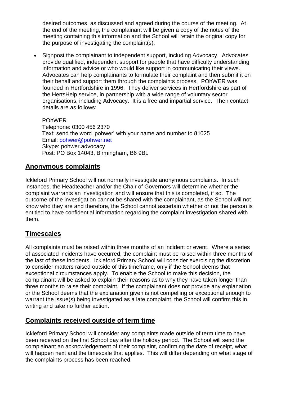desired outcomes, as discussed and agreed during the course of the meeting. At the end of the meeting, the complainant will be given a copy of the notes of the meeting containing this information and the School will retain the original copy for the purpose of investigating the complaint(s).

 Signpost the complainant to independent support, including Advocacy. Advocates provide qualified, independent support for people that have difficulty understanding information and advice or who would like support in communicating their views. Advocates can help complainants to formulate their complaint and then submit it on their behalf and support them through the complaints process. POhWER was founded in Hertfordshire in 1996. They deliver services in Hertfordshire as part of the HertsHelp service, in partnership with a wide range of voluntary sector organisations, including Advocacy. It is a free and impartial service. Their contact details are as follows:

POhWER Telephone: 0300 456 2370 Text: send the word 'pohwer' with your name and number to 81025 Email: [pohwer@pohwer.net](mailto:pohwer@pohwer.net) Skype: pohwer.advocacy Post: PO Box 14043, Birmingham, B6 9BL

# **Anonymous complaints**

Ickleford Primary School will not normally investigate anonymous complaints. In such instances, the Headteacher and/or the Chair of Governors will determine whether the complaint warrants an investigation and will ensure that this is completed, if so. The outcome of the investigation cannot be shared with the complainant, as the School will not know who they are and therefore, the School cannot ascertain whether or not the person is entitled to have confidential information regarding the complaint investigation shared with them.

# **Timescales**

All complaints must be raised within three months of an incident or event. Where a series of associated incidents have occurred, the complaint must be raised within three months of the last of these incidents. Ickleford Primary School will consider exercising the discretion to consider matters raised outside of this timeframe, only if the School deems that exceptional circumstances apply. To enable the School to make this decision, the complainant will be asked to explain their reasons as to why they have taken longer than three months to raise their complaint. If the complainant does not provide any explanation or the School deems that the explanation given is not compelling or exceptional enough to warrant the issue(s) being investigated as a late complaint, the School will confirm this in writing and take no further action.

# **Complaints received outside of term time**

Ickleford Primary School will consider any complaints made outside of term time to have been received on the first School day after the holiday period. The School will send the complainant an acknowledgement of their complaint, confirming the date of receipt, what will happen next and the timescale that applies. This will differ depending on what stage of the complaints process has been reached.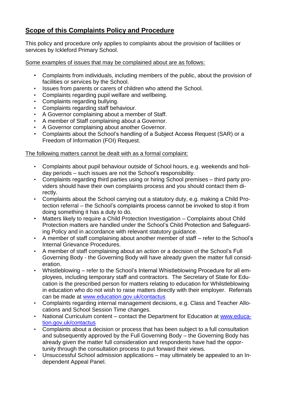# **Scope of this Complaints Policy and Procedure**

This policy and procedure only applies to complaints about the provision of facilities or services by Ickleford Primary School.

Some examples of issues that may be complained about are as follows:

- Complaints from individuals, including members of the public, about the provision of facilities or services by the School.
- Issues from parents or carers of children who attend the School.
- Complaints regarding pupil welfare and wellbeing.
- Complaints regarding bullying.
- Complaints regarding staff behaviour.
- A Governor complaining about a member of Staff.
- A member of Staff complaining about a Governor.
- A Governor complaining about another Governor.
- Complaints about the School's handling of a Subject Access Request (SAR) or a Freedom of Information (FOI) Request.

#### The following matters cannot be dealt with as a formal complaint:

- Complaints about pupil behaviour outside of School hours, e.g. weekends and holiday periods – such issues are not the School's responsibility.
- Complaints regarding third parties using or hiring School premises third party providers should have their own complaints process and you should contact them directly.
- Complaints about the School carrying out a statutory duty, e.g. making a Child Protection referral – the School's complaints process cannot be invoked to stop it from doing something it has a duty to do.
- Matters likely to require a Child Protection Investigation Complaints about Child Protection matters are handled under the School's Child Protection and Safeguarding Policy and in accordance with relevant statutory guidance.
- A member of staff complaining about another member of staff refer to the School's Internal Grievance Procedures.
- A member of staff complaining about an action or a decision of the School's Full Governing Body - the Governing Body will have already given the matter full consideration.
- Whistleblowing refer to the School's Internal Whistleblowing Procedure for all employees, including temporary staff and contractors. The Secretary of State for Education is the prescribed person for matters relating to education for Whilstleblowing in education who do not wish to raise matters directly with their employer. Referrals can be made at [www.education.gov.uk/contactus](http://www.education.gov.uk/contactus)
- Complaints regarding internal management decisions, e.g. Class and Teacher Allocations and School Session Time changes.
- National Curriculum content contact the Department for Education at [www.educa](http://www.education.gov.uk/contactus)[tion.gov.uk/contactus](http://www.education.gov.uk/contactus)
- Complaints about a decision or process that has been subject to a full consultation and subsequently approved by the Full Governing Body – the Governing Body has already given the matter full consideration and respondents have had the opportunity through the consultation process to put forward their views.
- Unsuccessful School admission applications may ultimately be appealed to an Independent Appeal Panel.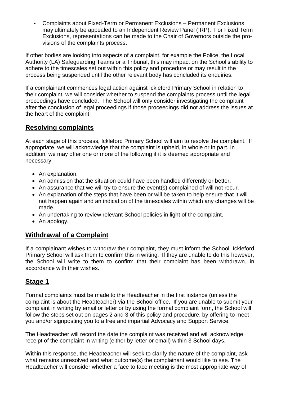• Complaints about Fixed-Term or Permanent Exclusions – Permanent Exclusions may ultimately be appealed to an Independent Review Panel (IRP). For Fixed Term Exclusions, representations can be made to the Chair of Governors outside the provisions of the complaints process.

If other bodies are looking into aspects of a complaint, for example the Police, the Local Authority (LA) Safeguarding Teams or a Tribunal, this may impact on the School's ability to adhere to the timescales set out within this policy and procedure or may result in the process being suspended until the other relevant body has concluded its enquiries.

If a complainant commences legal action against Ickleford Primary School in relation to their complaint, we will consider whether to suspend the complaints process until the legal proceedings have concluded. The School will only consider investigating the complaint after the conclusion of legal proceedings if those proceedings did not address the issues at the heart of the complaint.

# **Resolving complaints**

At each stage of this process, Ickleford Primary School will aim to resolve the complaint. If appropriate, we will acknowledge that the complaint is upheld, in whole or in part. In addition, we may offer one or more of the following if it is deemed appropriate and necessary:

- An explanation.
- An admission that the situation could have been handled differently or better.
- An assurance that we will try to ensure the event(s) complained of will not recur.
- An explanation of the steps that have been or will be taken to help ensure that it will not happen again and an indication of the timescales within which any changes will be made.
- An undertaking to review relevant School policies in light of the complaint.
- An apology.

# **Withdrawal of a Complaint**

If a complainant wishes to withdraw their complaint, they must inform the School. Ickleford Primary School will ask them to confirm this in writing. If they are unable to do this however, the School will write to them to confirm that their complaint has been withdrawn, in accordance with their wishes.

#### **Stage 1**

Formal complaints must be made to the Headteacher in the first instance (unless the complaint is about the Headteacher) via the School office. If you are unable to submit your complaint in writing by email or letter or by using the formal complaint form, the School will follow the steps set out on pages 2 and 3 of this policy and procedure, by offering to meet you and/or signposting you to a free and impartial Advocacy and Support Service.

The Headteacher will record the date the complaint was received and will acknowledge receipt of the complaint in writing (either by letter or email) within 3 School days.

Within this response, the Headteacher will seek to clarify the nature of the complaint, ask what remains unresolved and what outcome(s) the complainant would like to see. The Headteacher will consider whether a face to face meeting is the most appropriate way of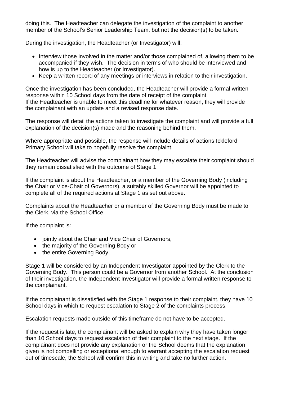doing this. The Headteacher can delegate the investigation of the complaint to another member of the School's Senior Leadership Team, but not the decision(s) to be taken.

During the investigation, the Headteacher (or Investigator) will:

- Interview those involved in the matter and/or those complained of, allowing them to be accompanied if they wish. The decision in terms of who should be interviewed and how is up to the Headteacher (or Investigator).
- Keep a written record of any meetings or interviews in relation to their investigation.

Once the investigation has been concluded, the Headteacher will provide a formal written response within 10 School days from the date of receipt of the complaint. If the Headteacher is unable to meet this deadline for whatever reason, they will provide the complainant with an update and a revised response date.

The response will detail the actions taken to investigate the complaint and will provide a full explanation of the decision(s) made and the reasoning behind them.

Where appropriate and possible, the response will include details of actions Ickleford Primary School will take to hopefully resolve the complaint.

The Headteacher will advise the complainant how they may escalate their complaint should they remain dissatisfied with the outcome of Stage 1.

If the complaint is about the Headteacher, or a member of the Governing Body (including the Chair or Vice-Chair of Governors), a suitably skilled Governor will be appointed to complete all of the required actions at Stage 1 as set out above.

Complaints about the Headteacher or a member of the Governing Body must be made to the Clerk, via the School Office.

If the complaint is:

- jointly about the Chair and Vice Chair of Governors,
- the majority of the Governing Body or
- the entire Governing Body,

Stage 1 will be considered by an Independent Investigator appointed by the Clerk to the Governing Body. This person could be a Governor from another School. At the conclusion of their investigation, the Independent Investigator will provide a formal written response to the complainant.

If the complainant is dissatisfied with the Stage 1 response to their complaint, they have 10 School days in which to request escalation to Stage 2 of the complaints process.

Escalation requests made outside of this timeframe do not have to be accepted.

If the request is late, the complainant will be asked to explain why they have taken longer than 10 School days to request escalation of their complaint to the next stage. If the complainant does not provide any explanation or the School deems that the explanation given is not compelling or exceptional enough to warrant accepting the escalation request out of timescale, the School will confirm this in writing and take no further action.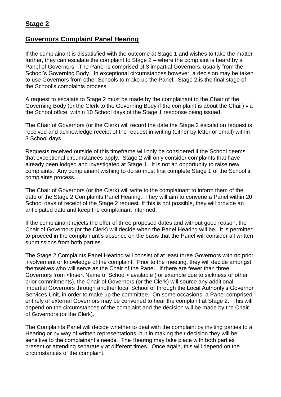## **Governors Complaint Panel Hearing**

If the complainant is dissatisfied with the outcome at Stage 1 and wishes to take the matter further, they can escalate the complaint to Stage 2 – where the complaint is heard by a Panel of Governors. The Panel is comprised of 3 impartial Governors, usually from the School's Governing Body. In exceptional circumstances however, a decision may be taken to use Governors from other Schools to make up the Panel. Stage 2 is the final stage of the School's complaints process.

A request to escalate to Stage 2 must be made by the complainant to the Chair of the Governing Body (or the Clerk to the Governing Body if the complaint is about the Chair) via the School office, within 10 School days of the Stage 1 response being issued.

The Chair of Governors (or the Clerk) will record the date the Stage 2 escalation request is received and acknowledge receipt of the request in writing (either by letter or email) within 3 School days.

Requests received outside of this timeframe will only be considered if the School deems that exceptional circumstances apply. Stage 2 will only consider complaints that have already been lodged and investigated at Stage 1. It is not an opportunity to raise new complaints. Any complainant wishing to do so must first complete Stage 1 of the School's complaints process.

The Chair of Governors (or the Clerk) will write to the complainant to inform them of the date of the Stage 2 Complaints Panel Hearing. They will aim to convene a Panel within 20 School days of receipt of the Stage 2 request. If this is not possible, they will provide an anticipated date and keep the complainant informed.

If the complainant rejects the offer of three proposed dates and without good reason, the Chair of Governors (or the Clerk) will decide when the Panel Hearing will be. It is permitted to proceed in the complainant's absence on the basis that the Panel will consider all written submissions from both parties.

The Stage 2 Complaints Panel Hearing will consist of at least three Governors with no prior involvement or knowledge of the complaint. Prior to the meeting, they will decide amongst themselves who will serve as the Chair of the Panel. If there are fewer than three Governors from <Insert Name of School> available (for example due to sickness or other prior commitments), the Chair of Governors (or the Clerk) will source any additional, impartial Governors through another local School or through the Local Authority's Governor Services Unit, in order to make up the committee. On some occasions, a Panel comprised entirely of external Governors may be convened to hear the complaint at Stage 2. This will depend on the circumstances of the complaint and the decision will be made by the Chair of Governors (or the Clerk).

The Complaints Panel will decide whether to deal with the complaint by inviting parties to a Hearing or by way of written representations, but in making their decision they will be sensitive to the complainant's needs. The Hearing may take place with both parties present or attending separately at different times. Once again, this will depend on the circumstances of the complaint.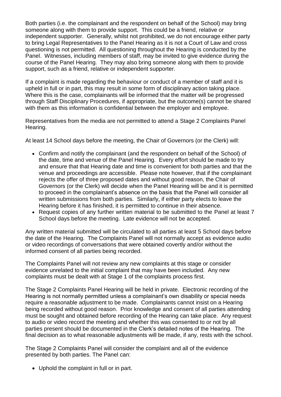Both parties (i.e. the complainant and the respondent on behalf of the School) may bring someone along with them to provide support. This could be a friend, relative or independent supporter. Generally, whilst not prohibited, we do not encourage either party to bring Legal Representatives to the Panel Hearing as it is not a Court of Law and cross questioning is not permitted. All questioning throughout the Hearing is conducted by the Panel. Witnesses, including members of staff, may be invited to give evidence during the course of the Panel Hearing. They may also bring someone along with them to provide support, such as a friend, relative or independent supporter.

If a complaint is made regarding the behaviour or conduct of a member of staff and it is upheld in full or in part, this may result in some form of disciplinary action taking place. Where this is the case, complainants will be informed that the matter will be progressed through Staff Disciplinary Procedures, if appropriate, but the outcome(s) cannot be shared with them as this information is confidential between the employer and employee.

Representatives from the media are not permitted to attend a Stage 2 Complaints Panel Hearing.

At least 14 School days before the meeting, the Chair of Governors (or the Clerk) will:

- Confirm and notify the complainant (and the respondent on behalf of the School) of the date, time and venue of the Panel Hearing. Every effort should be made to try and ensure that that Hearing date and time is convenient for both parties and that the venue and proceedings are accessible. Please note however, that if the complainant rejects the offer of three proposed dates and without good reason, the Chair of Governors (or the Clerk) will decide when the Panel Hearing will be and it is permitted to proceed in the complainant's absence on the basis that the Panel will consider all written submissions from both parties. Similarly, if either party elects to leave the Hearing before it has finished, it is permitted to continue in their absence.
- Request copies of any further written material to be submitted to the Panel at least 7 School days before the meeting. Late evidence will not be accepted.

Any written material submitted will be circulated to all parties at least 5 School days before the date of the Hearing. The Complaints Panel will not normally accept as evidence audio or video recordings of conversations that were obtained covertly and/or without the informed consent of all parties being recorded.

The Complaints Panel will not review any new complaints at this stage or consider evidence unrelated to the initial complaint that may have been included. Any new complaints must be dealt with at Stage 1 of the complaints process first.

The Stage 2 Complaints Panel Hearing will be held in private. Electronic recording of the Hearing is not normally permitted unless a complainant's own disability or special needs require a reasonable adjustment to be made. Complainants cannot insist on a Hearing being recorded without good reason. Prior knowledge and consent of all parties attending must be sought and obtained before recording of the Hearing can take place. Any request to audio or video record the meeting and whether this was consented to or not by all parties present should be documented in the Clerk's detailed notes of the Hearing. The final decision as to what reasonable adjustments will be made, if any, rests with the school.

The Stage 2 Complaints Panel will consider the complaint and all of the evidence presented by both parties. The Panel can:

Uphold the complaint in full or in part.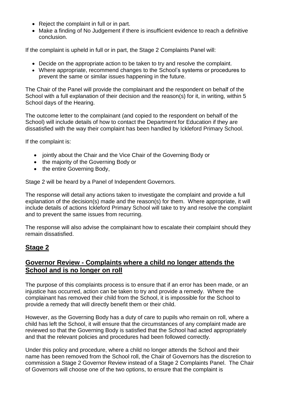- Reject the complaint in full or in part.
- Make a finding of No Judgement if there is insufficient evidence to reach a definitive conclusion.

If the complaint is upheld in full or in part, the Stage 2 Complaints Panel will:

- Decide on the appropriate action to be taken to try and resolve the complaint.
- Where appropriate, recommend changes to the School's systems or procedures to prevent the same or similar issues happening in the future.

The Chair of the Panel will provide the complainant and the respondent on behalf of the School with a full explanation of their decision and the reason(s) for it, in writing, within 5 School days of the Hearing.

The outcome letter to the complainant (and copied to the respondent on behalf of the School) will include details of how to contact the Department for Education if they are dissatisfied with the way their complaint has been handled by Ickleford Primary School.

If the complaint is:

- jointly about the Chair and the Vice Chair of the Governing Body or
- the majority of the Governing Body or
- the entire Governing Body,

Stage 2 will be heard by a Panel of Independent Governors.

The response will detail any actions taken to investigate the complaint and provide a full explanation of the decision(s) made and the reason(s) for them. Where appropriate, it will include details of actions Ickleford Primary School will take to try and resolve the complaint and to prevent the same issues from recurring.

The response will also advise the complainant how to escalate their complaint should they remain dissatisfied.

# **Stage 2**

## **Governor Review - Complaints where a child no longer attends the School and is no longer on roll**

The purpose of this complaints process is to ensure that if an error has been made, or an injustice has occurred, action can be taken to try and provide a remedy. Where the complainant has removed their child from the School, it is impossible for the School to provide a remedy that will directly benefit them or their child.

However, as the Governing Body has a duty of care to pupils who remain on roll, where a child has left the School, it will ensure that the circumstances of any complaint made are reviewed so that the Governing Body is satisfied that the School had acted appropriately and that the relevant policies and procedures had been followed correctly.

Under this policy and procedure, where a child no longer attends the School and their name has been removed from the School roll, the Chair of Governors has the discretion to commission a Stage 2 Governor Review instead of a Stage 2 Complaints Panel. The Chair of Governors will choose one of the two options, to ensure that the complaint is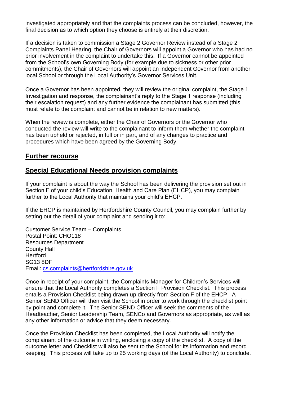investigated appropriately and that the complaints process can be concluded, however, the final decision as to which option they choose is entirely at their discretion.

If a decision is taken to commission a Stage 2 Governor Review instead of a Stage 2 Complaints Panel Hearing, the Chair of Governors will appoint a Governor who has had no prior involvement in the complaint to undertake this. If a Governor cannot be appointed from the School's own Governing Body (for example due to sickness or other prior commitments), the Chair of Governors will appoint an independent Governor from another local School or through the Local Authority's Governor Services Unit.

Once a Governor has been appointed, they will review the original complaint, the Stage 1 Investigation and response, the complainant's reply to the Stage 1 response (including their escalation request) and any further evidence the complainant has submitted (this must relate to the complaint and cannot be in relation to new matters).

When the review is complete, either the Chair of Governors or the Governor who conducted the review will write to the complainant to inform them whether the complaint has been upheld or rejected, in full or in part, and of any changes to practice and procedures which have been agreed by the Governing Body.

#### **Further recourse**

#### **Special Educational Needs provision complaints**

If your complaint is about the way the School has been delivering the provision set out in Section F of your child's Education, Health and Care Plan (EHCP), you may complain further to the Local Authority that maintains your child's EHCP.

If the EHCP is maintained by Hertfordshire County Council, you may complain further by setting out the detail of your complaint and sending it to:

Customer Service Team – Complaints Postal Point: CHO118 Resources Department County Hall **Hertford** SG13 8DF Email: [cs.complaints@hertfordshire.gov.uk](mailto:cs.complaints@hertfordshire.gov.uk)

Once in receipt of your complaint, the Complaints Manager for Children's Services will ensure that the Local Authority completes a Section F Provision Checklist. This process entails a Provision Checklist being drawn up directly from Section F of the EHCP. A Senior SEND Officer will then visit the School in order to work through the checklist point by point and complete it. The Senior SEND Officer will seek the comments of the Headteacher, Senior Leadership Team, SENCo and Governors as appropriate, as well as any other information or advice that they deem necessary.

Once the Provision Checklist has been completed, the Local Authority will notify the complainant of the outcome in writing, enclosing a copy of the checklist. A copy of the outcome letter and Checklist will also be sent to the School for its information and record keeping. This process will take up to 25 working days (of the Local Authority) to conclude.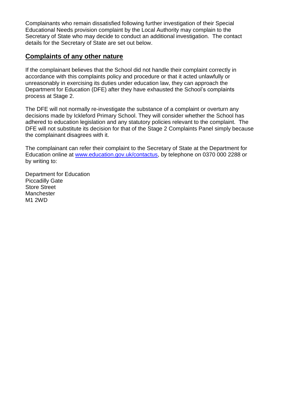Complainants who remain dissatisfied following further investigation of their Special Educational Needs provision complaint by the Local Authority may complain to the Secretary of State who may decide to conduct an additional investigation. The contact details for the Secretary of State are set out below.

#### **Complaints of any other nature**

If the complainant believes that the School did not handle their complaint correctly in accordance with this complaints policy and procedure or that it acted unlawfully or unreasonably in exercising its duties under education law, they can approach the Department for Education (DFE) after they have exhausted the School's complaints process at Stage 2.

The DFE will not normally re-investigate the substance of a complaint or overturn any decisions made by Ickleford Primary School. They will consider whether the School has adhered to education legislation and any statutory policies relevant to the complaint. The DFE will not substitute its decision for that of the Stage 2 Complaints Panel simply because the complainant disagrees with it.

The complainant can refer their complaint to the Secretary of State at the Department for Education online at [www.education.gov.uk/contactus,](http://www.education.gov.uk/contactus) by telephone on 0370 000 2288 or by writing to:

Department for Education Piccadilly Gate Store Street **Manchester** M1 2WD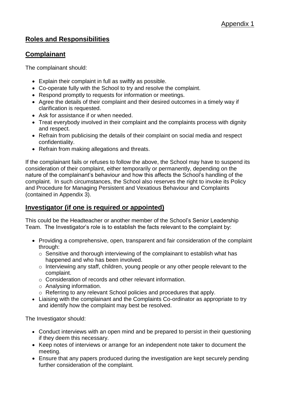# **Roles and Responsibilities**

#### **Complainant**

The complainant should:

- Explain their complaint in full as swiftly as possible.
- Co-operate fully with the School to try and resolve the complaint.
- Respond promptly to requests for information or meetings.
- Agree the details of their complaint and their desired outcomes in a timely way if clarification is requested.
- Ask for assistance if or when needed.
- Treat everybody involved in their complaint and the complaints process with dignity and respect.
- Refrain from publicising the details of their complaint on social media and respect confidentiality.
- Refrain from making allegations and threats.

If the complainant fails or refuses to follow the above, the School may have to suspend its consideration of their complaint, either temporarily or permanently, depending on the nature of the complainant's behaviour and how this affects the School's handling of the complaint. In such circumstances, the School also reserves the right to invoke its Policy and Procedure for Managing Persistent and Vexatious Behaviour and Complaints (contained in Appendix 3).

#### **Investigator (if one is required or appointed)**

This could be the Headteacher or another member of the School's Senior Leadership Team. The Investigator's role is to establish the facts relevant to the complaint by:

- Providing a comprehensive, open, transparent and fair consideration of the complaint through:
	- $\circ$  Sensitive and thorough interviewing of the complainant to establish what has happened and who has been involved.
	- o Interviewing any staff, children, young people or any other people relevant to the complaint.
	- o Consideration of records and other relevant information.
	- o Analysing information.
	- o Referring to any relevant School policies and procedures that apply.
- Liaising with the complainant and the Complaints Co-ordinator as appropriate to try and identify how the complaint may best be resolved.

The Investigator should:

- Conduct interviews with an open mind and be prepared to persist in their questioning if they deem this necessary.
- Keep notes of interviews or arrange for an independent note taker to document the meeting.
- Ensure that any papers produced during the investigation are kept securely pending further consideration of the complaint.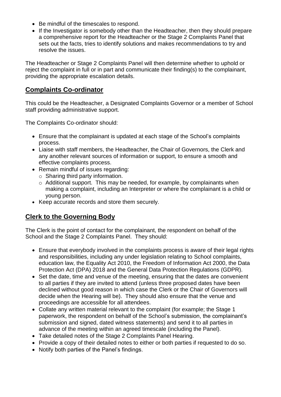- Be mindful of the timescales to respond.
- If the Investigator is somebody other than the Headteacher, then they should prepare a comprehensive report for the Headteacher or the Stage 2 Complaints Panel that sets out the facts, tries to identify solutions and makes recommendations to try and resolve the issues.

The Headteacher or Stage 2 Complaints Panel will then determine whether to uphold or reject the complaint in full or in part and communicate their finding(s) to the complainant, providing the appropriate escalation details.

#### **Complaints Co-ordinator**

This could be the Headteacher, a Designated Complaints Governor or a member of School staff providing administrative support.

The Complaints Co-ordinator should:

- Ensure that the complainant is updated at each stage of the School's complaints process.
- Liaise with staff members, the Headteacher, the Chair of Governors, the Clerk and any another relevant sources of information or support, to ensure a smooth and effective complaints process.
- Remain mindful of issues regarding:
	- o Sharing third party information.
	- o Additional support. This may be needed, for example, by complainants when making a complaint, including an Interpreter or where the complainant is a child or young person.
- Keep accurate records and store them securely.

# **Clerk to the Governing Body**

The Clerk is the point of contact for the complainant, the respondent on behalf of the School and the Stage 2 Complaints Panel. They should:

- Ensure that everybody involved in the complaints process is aware of their legal rights and responsibilities, including any under legislation relating to School complaints, education law, the Equality Act 2010, the Freedom of Information Act 2000, the Data Protection Act (DPA) 2018 and the General Data Protection Regulations (GDPR).
- Set the date, time and venue of the meeting, ensuring that the dates are convenient to all parties if they are invited to attend (unless three proposed dates have been declined without good reason in which case the Clerk or the Chair of Governors will decide when the Hearing will be). They should also ensure that the venue and proceedings are accessible for all attendees.
- Collate any written material relevant to the complaint (for example; the Stage 1 paperwork, the respondent on behalf of the School's submission, the complainant's submission and signed, dated witness statements) and send it to all parties in advance of the meeting within an agreed timescale (including the Panel).
- Take detailed notes of the Stage 2 Complaints Panel Hearing.
- Provide a copy of their detailed notes to either or both parties if requested to do so.
- Notify both parties of the Panel's findings.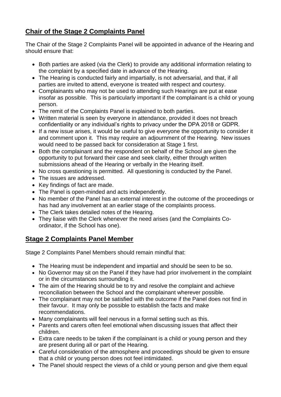# **Chair of the Stage 2 Complaints Panel**

The Chair of the Stage 2 Complaints Panel will be appointed in advance of the Hearing and should ensure that:

- Both parties are asked (via the Clerk) to provide any additional information relating to the complaint by a specified date in advance of the Hearing.
- The Hearing is conducted fairly and impartially, is not adversarial, and that, if all parties are invited to attend, everyone is treated with respect and courtesy.
- Complainants who may not be used to attending such Hearings are put at ease insofar as possible. This is particularly important if the complainant is a child or young person.
- The remit of the Complaints Panel is explained to both parties.
- Written material is seen by everyone in attendance, provided it does not breach confidentiality or any individual's rights to privacy under the DPA 2018 or GDPR.
- If a new issue arises, it would be useful to give everyone the opportunity to consider it and comment upon it. This may require an adjournment of the Hearing. New issues would need to be passed back for consideration at Stage 1 first.
- Both the complainant and the respondent on behalf of the School are given the opportunity to put forward their case and seek clarity, either through written submissions ahead of the Hearing or verbally in the Hearing itself.
- No cross questioning is permitted. All questioning is conducted by the Panel.
- The issues are addressed.
- Key findings of fact are made.
- The Panel is open-minded and acts independently.
- No member of the Panel has an external interest in the outcome of the proceedings or has had any involvement at an earlier stage of the complaints process.
- The Clerk takes detailed notes of the Hearing.
- They liaise with the Clerk whenever the need arises (and the Complaints Coordinator, if the School has one).

# **Stage 2 Complaints Panel Member**

Stage 2 Complaints Panel Members should remain mindful that:

- The Hearing must be independent and impartial and should be seen to be so.
- No Governor may sit on the Panel if they have had prior involvement in the complaint or in the circumstances surrounding it.
- The aim of the Hearing should be to try and resolve the complaint and achieve reconciliation between the School and the complainant wherever possible.
- The complainant may not be satisfied with the outcome if the Panel does not find in their favour. It may only be possible to establish the facts and make recommendations.
- Many complainants will feel nervous in a formal setting such as this.
- Parents and carers often feel emotional when discussing issues that affect their children.
- Extra care needs to be taken if the complainant is a child or young person and they are present during all or part of the Hearing.
- Careful consideration of the atmosphere and proceedings should be given to ensure that a child or young person does not feel intimidated.
- The Panel should respect the views of a child or young person and give them equal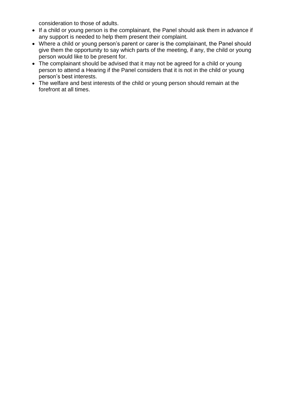consideration to those of adults.

- If a child or young person is the complainant, the Panel should ask them in advance if any support is needed to help them present their complaint.
- Where a child or young person's parent or carer is the complainant, the Panel should give them the opportunity to say which parts of the meeting, if any, the child or young person would like to be present for.
- The complainant should be advised that it may not be agreed for a child or young person to attend a Hearing if the Panel considers that it is not in the child or young person's best interests.
- The welfare and best interests of the child or young person should remain at the forefront at all times.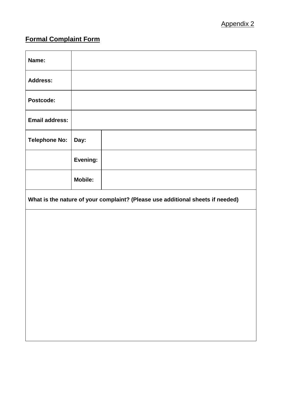# **Formal Complaint Form**

| Name:                 |                |                                                                                |
|-----------------------|----------------|--------------------------------------------------------------------------------|
| <b>Address:</b>       |                |                                                                                |
| Postcode:             |                |                                                                                |
| <b>Email address:</b> |                |                                                                                |
| <b>Telephone No:</b>  | Day:           |                                                                                |
|                       | Evening:       |                                                                                |
|                       | <b>Mobile:</b> |                                                                                |
|                       |                |                                                                                |
|                       |                | What is the nature of your complaint? (Please use additional sheets if needed) |
|                       |                |                                                                                |
|                       |                |                                                                                |
|                       |                |                                                                                |
|                       |                |                                                                                |
|                       |                |                                                                                |
|                       |                |                                                                                |
|                       |                |                                                                                |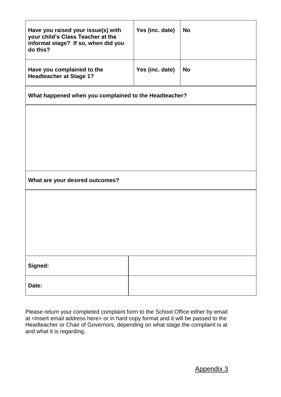| Have you raised your issue(s) with<br>your child's Class Teacher at the<br>informal stage? If so, when did you<br>do this? | Yes (inc. date) | <b>No</b> |  |  |  |
|----------------------------------------------------------------------------------------------------------------------------|-----------------|-----------|--|--|--|
| Have you complained to the<br><b>Headteacher at Stage 1?</b>                                                               | Yes (inc. date) | <b>No</b> |  |  |  |
| What happened when you complained to the Headteacher?                                                                      |                 |           |  |  |  |
|                                                                                                                            |                 |           |  |  |  |
|                                                                                                                            |                 |           |  |  |  |
|                                                                                                                            |                 |           |  |  |  |
| What are your desired outcomes?                                                                                            |                 |           |  |  |  |
|                                                                                                                            |                 |           |  |  |  |
|                                                                                                                            |                 |           |  |  |  |
|                                                                                                                            |                 |           |  |  |  |
|                                                                                                                            |                 |           |  |  |  |
| Signed:                                                                                                                    |                 |           |  |  |  |
| Date:                                                                                                                      |                 |           |  |  |  |

Please return your completed complaint form to the School Office either by email at <insert email address here> or in hard copy format and it will be passed to the Headteacher or Chair of Governors, depending on what stage the complaint is at and what it is regarding.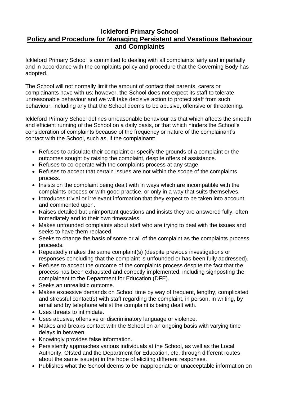#### **Ickleford Primary School Policy and Procedure for Managing Persistent and Vexatious Behaviour and Complaints**

Ickleford Primary School is committed to dealing with all complaints fairly and impartially and in accordance with the complaints policy and procedure that the Governing Body has adopted.

The School will not normally limit the amount of contact that parents, carers or complainants have with us; however, the School does not expect its staff to tolerate unreasonable behaviour and we will take decisive action to protect staff from such behaviour, including any that the School deems to be abusive, offensive or threatening.

Ickleford Primary School defines unreasonable behaviour as that which affects the smooth and efficient running of the School on a daily basis, or that which hinders the School's consideration of complaints because of the frequency or nature of the complainant's contact with the School, such as, if the complainant:

- Refuses to articulate their complaint or specify the grounds of a complaint or the outcomes sought by raising the complaint, despite offers of assistance.
- Refuses to co-operate with the complaints process at any stage.
- Refuses to accept that certain issues are not within the scope of the complaints process.
- Insists on the complaint being dealt with in ways which are incompatible with the complaints process or with good practice, or only in a way that suits themselves.
- Introduces trivial or irrelevant information that they expect to be taken into account and commented upon.
- Raises detailed but unimportant questions and insists they are answered fully, often immediately and to their own timescales.
- Makes unfounded complaints about staff who are trying to deal with the issues and seeks to have them replaced.
- Seeks to change the basis of some or all of the complaint as the complaints process proceeds.
- Repeatedly makes the same complaint(s) (despite previous investigations or responses concluding that the complaint is unfounded or has been fully addressed).
- Refuses to accept the outcome of the complaints process despite the fact that the process has been exhausted and correctly implemented, including signposting the complainant to the Department for Education (DFE).
- Seeks an unrealistic outcome.
- Makes excessive demands on School time by way of frequent, lengthy, complicated and stressful contact(s) with staff regarding the complaint, in person, in writing, by email and by telephone whilst the complaint is being dealt with.
- Uses threats to intimidate.
- Uses abusive, offensive or discriminatory language or violence.
- Makes and breaks contact with the School on an ongoing basis with varying time delays in between.
- Knowingly provides false information.
- Persistently approaches various individuals at the School, as well as the Local Authority, Ofsted and the Department for Education, etc, through different routes about the same issue(s) in the hope of eliciting different responses.
- Publishes what the School deems to be inappropriate or unacceptable information on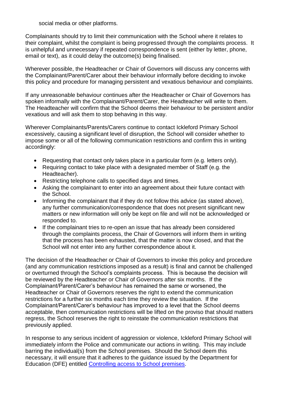social media or other platforms.

Complainants should try to limit their communication with the School where it relates to their complaint, whilst the complaint is being progressed through the complaints process. It is unhelpful and unnecessary if repeated correspondence is sent (either by letter, phone, email or text), as it could delay the outcome(s) being finalised.

Wherever possible, the Headteacher or Chair of Governors will discuss any concerns with the Complainant/Parent/Carer about their behaviour informally before deciding to invoke this policy and procedure for managing persistent and vexatious behaviour and complaints.

If any unreasonable behaviour continues after the Headteacher or Chair of Governors has spoken informally with the Complainant/Parent/Carer, the Headteacher will write to them. The Headteacher will confirm that the School deems their behaviour to be persistent and/or vexatious and will ask them to stop behaving in this way.

Wherever Complainants/Parents/Carers continue to contact Ickleford Primary School excessively, causing a significant level of disruption, the School will consider whether to impose some or all of the following communication restrictions and confirm this in writing accordingly:

- Requesting that contact only takes place in a particular form (e.g. letters only).
- Requiring contact to take place with a designated member of Staff (e.g. the Headteacher).
- Restricting telephone calls to specified days and times.
- Asking the complainant to enter into an agreement about their future contact with the School.
- Informing the complainant that if they do not follow this advice (as stated above), any further communication/correspondence that does not present significant new matters or new information will only be kept on file and will not be acknowledged or responded to.
- If the complainant tries to re-open an issue that has already been considered through the complaints process, the Chair of Governors will inform them in writing that the process has been exhausted, that the matter is now closed, and that the School will not enter into any further correspondence about it.

The decision of the Headteacher or Chair of Governors to invoke this policy and procedure (and any communication restrictions imposed as a result) is final and cannot be challenged or overturned through the School's complaints process. This is because the decision will be reviewed by the Headteacher or Chair of Governors after six months. If the Complainant/Parent/Carer's behaviour has remained the same or worsened, the Headteacher or Chair of Governors reserves the right to extend the communication restrictions for a further six months each time they review the situation. If the Complainant/Parent/Carer's behaviour has improved to a level that the School deems acceptable, then communication restrictions will be lifted on the proviso that should matters regress, the School reserves the right to reinstate the communication restrictions that previously applied.

In response to any serious incident of aggression or violence, Ickleford Primary School will immediately inform the Police and communicate our actions in writing. This may include barring the individual(s) from the School premises. Should the School deem this necessary, it will ensure that it adheres to the guidance issued by the Department for Education (DFE) entitled [Controlling access to School](https://www.gov.uk/government/publications/controlling-access-to-school-premises/controlling-access-to-school-premises) premises.